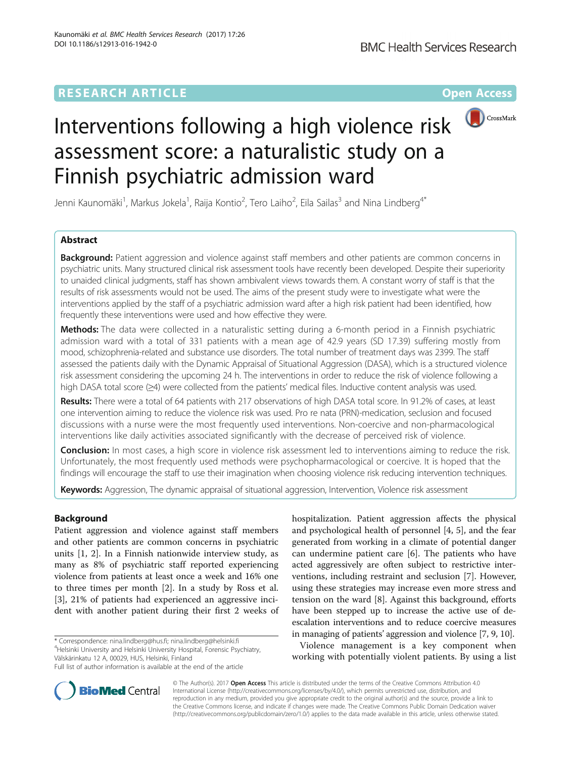# **RESEARCH ARTICLE Example 2018 12:00 Department of the Contract Open Access**



# Interventions following a high violence risk assessment score: a naturalistic study on a Finnish psychiatric admission ward

Jenni Kaunomäki<sup>1</sup>, Markus Jokela<sup>1</sup>, Raija Kontio<sup>2</sup>, Tero Laiho<sup>2</sup>, Eila Sailas<sup>3</sup> and Nina Lindberg<sup>4\*</sup>

# Abstract

**Background:** Patient aggression and violence against staff members and other patients are common concerns in psychiatric units. Many structured clinical risk assessment tools have recently been developed. Despite their superiority to unaided clinical judgments, staff has shown ambivalent views towards them. A constant worry of staff is that the results of risk assessments would not be used. The aims of the present study were to investigate what were the interventions applied by the staff of a psychiatric admission ward after a high risk patient had been identified, how frequently these interventions were used and how effective they were.

Methods: The data were collected in a naturalistic setting during a 6-month period in a Finnish psychiatric admission ward with a total of 331 patients with a mean age of 42.9 years (SD 17.39) suffering mostly from mood, schizophrenia-related and substance use disorders. The total number of treatment days was 2399. The staff assessed the patients daily with the Dynamic Appraisal of Situational Aggression (DASA), which is a structured violence risk assessment considering the upcoming 24 h. The interventions in order to reduce the risk of violence following a high DASA total score (≥4) were collected from the patients' medical files. Inductive content analysis was used.

Results: There were a total of 64 patients with 217 observations of high DASA total score. In 91.2% of cases, at least one intervention aiming to reduce the violence risk was used. Pro re nata (PRN)-medication, seclusion and focused discussions with a nurse were the most frequently used interventions. Non-coercive and non-pharmacological interventions like daily activities associated significantly with the decrease of perceived risk of violence.

Conclusion: In most cases, a high score in violence risk assessment led to interventions aiming to reduce the risk. Unfortunately, the most frequently used methods were psychopharmacological or coercive. It is hoped that the findings will encourage the staff to use their imagination when choosing violence risk reducing intervention techniques.

Keywords: Aggression, The dynamic appraisal of situational aggression, Intervention, Violence risk assessment

# Background

Patient aggression and violence against staff members and other patients are common concerns in psychiatric units [\[1, 2\]](#page-6-0). In a Finnish nationwide interview study, as many as 8% of psychiatric staff reported experiencing violence from patients at least once a week and 16% one to three times per month [[2\]](#page-6-0). In a study by Ross et al. [[3\]](#page-6-0), 21% of patients had experienced an aggressive incident with another patient during their first 2 weeks of

\* Correspondence: [nina.lindberg@hus.fi;](mailto:nina.lindberg@hus.fi) [nina.lindberg@helsinki.fi](mailto:nina.lindberg@helsinki.fi) <sup>4</sup> <sup>4</sup>Helsinki University and Helsinki University Hospital, Forensic Psychiatry, Välskärinkatu 12 A, 00029, HUS, Helsinki, Finland

hospitalization. Patient aggression affects the physical and psychological health of personnel [[4, 5\]](#page-6-0), and the fear generated from working in a climate of potential danger can undermine patient care [\[6\]](#page-6-0). The patients who have acted aggressively are often subject to restrictive interventions, including restraint and seclusion [[7\]](#page-6-0). However, using these strategies may increase even more stress and tension on the ward [[8\]](#page-6-0). Against this background, efforts have been stepped up to increase the active use of deescalation interventions and to reduce coercive measures in managing of patients' aggression and violence [\[7, 9](#page-6-0), [10\]](#page-6-0).

Violence management is a key component when working with potentially violent patients. By using a list



© The Author(s). 2017 **Open Access** This article is distributed under the terms of the Creative Commons Attribution 4.0 International License [\(http://creativecommons.org/licenses/by/4.0/](http://creativecommons.org/licenses/by/4.0/)), which permits unrestricted use, distribution, and reproduction in any medium, provided you give appropriate credit to the original author(s) and the source, provide a link to the Creative Commons license, and indicate if changes were made. The Creative Commons Public Domain Dedication waiver [\(http://creativecommons.org/publicdomain/zero/1.0/](http://creativecommons.org/publicdomain/zero/1.0/)) applies to the data made available in this article, unless otherwise stated.

Full list of author information is available at the end of the article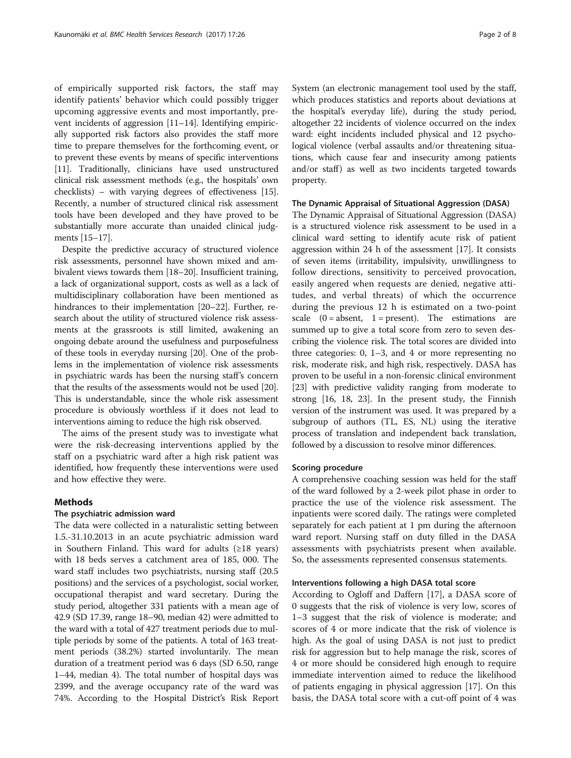of empirically supported risk factors, the staff may identify patients' behavior which could possibly trigger upcoming aggressive events and most importantly, prevent incidents of aggression [[11](#page-6-0)–[14\]](#page-6-0). Identifying empirically supported risk factors also provides the staff more time to prepare themselves for the forthcoming event, or to prevent these events by means of specific interventions [[11](#page-6-0)]. Traditionally, clinicians have used unstructured clinical risk assessment methods (e.g., the hospitals' own checklists) – with varying degrees of effectiveness [[15](#page-6-0)]. Recently, a number of structured clinical risk assessment tools have been developed and they have proved to be substantially more accurate than unaided clinical judgments [\[15](#page-6-0)–[17](#page-6-0)].

Despite the predictive accuracy of structured violence risk assessments, personnel have shown mixed and ambivalent views towards them [\[18](#page-6-0)–[20](#page-6-0)]. Insufficient training, a lack of organizational support, costs as well as a lack of multidisciplinary collaboration have been mentioned as hindrances to their implementation [[20](#page-6-0)–[22\]](#page-6-0). Further, research about the utility of structured violence risk assessments at the grassroots is still limited, awakening an ongoing debate around the usefulness and purposefulness of these tools in everyday nursing [[20](#page-6-0)]. One of the problems in the implementation of violence risk assessments in psychiatric wards has been the nursing staff's concern that the results of the assessments would not be used [[20](#page-6-0)]. This is understandable, since the whole risk assessment procedure is obviously worthless if it does not lead to interventions aiming to reduce the high risk observed.

The aims of the present study was to investigate what were the risk-decreasing interventions applied by the staff on a psychiatric ward after a high risk patient was identified, how frequently these interventions were used and how effective they were.

#### Methods

#### The psychiatric admission ward

The data were collected in a naturalistic setting between 1.5.-31.10.2013 in an acute psychiatric admission ward in Southern Finland. This ward for adults (≥18 years) with 18 beds serves a catchment area of 185, 000. The ward staff includes two psychiatrists, nursing staff (20.5 positions) and the services of a psychologist, social worker, occupational therapist and ward secretary. During the study period, altogether 331 patients with a mean age of 42.9 (SD 17.39, range 18–90, median 42) were admitted to the ward with a total of 427 treatment periods due to multiple periods by some of the patients. A total of 163 treatment periods (38.2%) started involuntarily. The mean duration of a treatment period was 6 days (SD 6.50, range 1–44, median 4). The total number of hospital days was 2399, and the average occupancy rate of the ward was 74%. According to the Hospital District's Risk Report System (an electronic management tool used by the staff, which produces statistics and reports about deviations at the hospital's everyday life), during the study period, altogether 22 incidents of violence occurred on the index ward: eight incidents included physical and 12 psychological violence (verbal assaults and/or threatening situations, which cause fear and insecurity among patients and/or staff) as well as two incidents targeted towards property.

#### The Dynamic Appraisal of Situational Aggression (DASA)

The Dynamic Appraisal of Situational Aggression (DASA) is a structured violence risk assessment to be used in a clinical ward setting to identify acute risk of patient aggression within 24 h of the assessment [\[17\]](#page-6-0). It consists of seven items (irritability, impulsivity, unwillingness to follow directions, sensitivity to perceived provocation, easily angered when requests are denied, negative attitudes, and verbal threats) of which the occurrence during the previous 12 h is estimated on a two-point scale  $(0 = absent, 1 = present)$ . The estimations are summed up to give a total score from zero to seven describing the violence risk. The total scores are divided into three categories: 0, 1–3, and 4 or more representing no risk, moderate risk, and high risk, respectively. DASA has proven to be useful in a non-forensic clinical environment [[23](#page-6-0)] with predictive validity ranging from moderate to strong [[16](#page-6-0), [18, 23](#page-6-0)]. In the present study, the Finnish version of the instrument was used. It was prepared by a subgroup of authors (TL, ES, NL) using the iterative process of translation and independent back translation, followed by a discussion to resolve minor differences.

#### Scoring procedure

A comprehensive coaching session was held for the staff of the ward followed by a 2-week pilot phase in order to practice the use of the violence risk assessment. The inpatients were scored daily. The ratings were completed separately for each patient at 1 pm during the afternoon ward report. Nursing staff on duty filled in the DASA assessments with psychiatrists present when available. So, the assessments represented consensus statements.

#### Interventions following a high DASA total score

According to Ogloff and Daffern [[17](#page-6-0)], a DASA score of 0 suggests that the risk of violence is very low, scores of 1–3 suggest that the risk of violence is moderate; and scores of 4 or more indicate that the risk of violence is high. As the goal of using DASA is not just to predict risk for aggression but to help manage the risk, scores of 4 or more should be considered high enough to require immediate intervention aimed to reduce the likelihood of patients engaging in physical aggression [[17](#page-6-0)]. On this basis, the DASA total score with a cut-off point of 4 was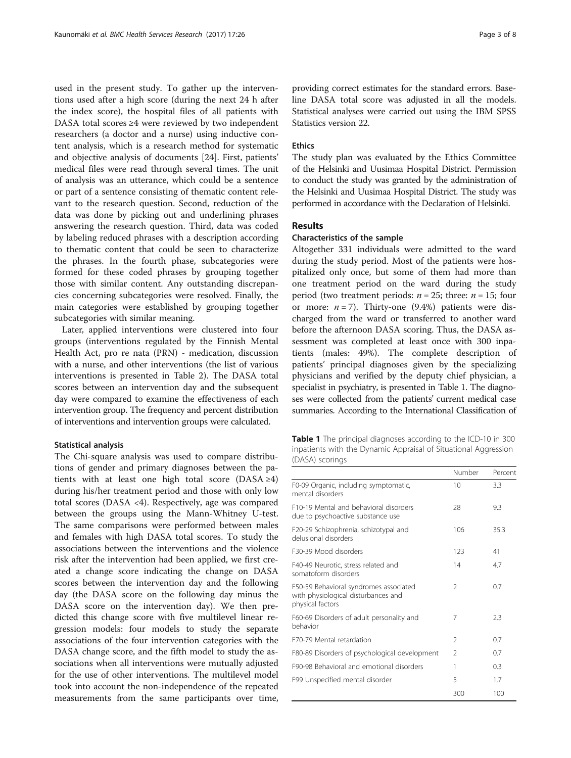used in the present study. To gather up the interventions used after a high score (during the next 24 h after the index score), the hospital files of all patients with DASA total scores ≥4 were reviewed by two independent researchers (a doctor and a nurse) using inductive content analysis, which is a research method for systematic and objective analysis of documents [[24](#page-6-0)]. First, patients' medical files were read through several times. The unit of analysis was an utterance, which could be a sentence or part of a sentence consisting of thematic content relevant to the research question. Second, reduction of the data was done by picking out and underlining phrases answering the research question. Third, data was coded by labeling reduced phrases with a description according to thematic content that could be seen to characterize the phrases. In the fourth phase, subcategories were formed for these coded phrases by grouping together those with similar content. Any outstanding discrepancies concerning subcategories were resolved. Finally, the main categories were established by grouping together subcategories with similar meaning.

Later, applied interventions were clustered into four groups (interventions regulated by the Finnish Mental Health Act, pro re nata (PRN) - medication, discussion with a nurse, and other interventions (the list of various interventions is presented in Table [2](#page-3-0)). The DASA total scores between an intervention day and the subsequent day were compared to examine the effectiveness of each intervention group. The frequency and percent distribution of interventions and intervention groups were calculated.

#### Statistical analysis

The Chi-square analysis was used to compare distributions of gender and primary diagnoses between the patients with at least one high total score (DASA  $\geq 4$ ) during his/her treatment period and those with only low total scores (DASA <4). Respectively, age was compared between the groups using the Mann-Whitney U-test. The same comparisons were performed between males and females with high DASA total scores. To study the associations between the interventions and the violence risk after the intervention had been applied, we first created a change score indicating the change on DASA scores between the intervention day and the following day (the DASA score on the following day minus the DASA score on the intervention day). We then predicted this change score with five multilevel linear regression models: four models to study the separate associations of the four intervention categories with the DASA change score, and the fifth model to study the associations when all interventions were mutually adjusted for the use of other interventions. The multilevel model took into account the non-independence of the repeated measurements from the same participants over time,

providing correct estimates for the standard errors. Baseline DASA total score was adjusted in all the models. Statistical analyses were carried out using the IBM SPSS Statistics version 22.

#### **Ethics**

The study plan was evaluated by the Ethics Committee of the Helsinki and Uusimaa Hospital District. Permission to conduct the study was granted by the administration of the Helsinki and Uusimaa Hospital District. The study was performed in accordance with the Declaration of Helsinki.

### Results

#### Characteristics of the sample

Altogether 331 individuals were admitted to the ward during the study period. Most of the patients were hospitalized only once, but some of them had more than one treatment period on the ward during the study period (two treatment periods:  $n = 25$ ; three:  $n = 15$ ; four or more:  $n = 7$ ). Thirty-one (9.4%) patients were discharged from the ward or transferred to another ward before the afternoon DASA scoring. Thus, the DASA assessment was completed at least once with 300 inpatients (males: 49%). The complete description of patients' principal diagnoses given by the specializing physicians and verified by the deputy chief physician, a specialist in psychiatry, is presented in Table 1. The diagnoses were collected from the patients' current medical case summaries. According to the International Classification of

Table 1 The principal diagnoses according to the ICD-10 in 300 inpatients with the Dynamic Appraisal of Situational Aggression (DASA) scorings

|                                                                                                   | Number         | Percent |
|---------------------------------------------------------------------------------------------------|----------------|---------|
| F0-09 Organic, including symptomatic,<br>mental disorders                                         | 10             | 3.3     |
| F10-19 Mental and behavioral disorders<br>due to psychoactive substance use                       | 28             | 9.3     |
| F20-29 Schizophrenia, schizotypal and<br>delusional disorders                                     | 106            | 35.3    |
| F30-39 Mood disorders                                                                             | 123            | 41      |
| F40-49 Neurotic, stress related and<br>somatoform disorders                                       | 14             | 4.7     |
| F50-59 Behavioral syndromes associated<br>with physiological disturbances and<br>physical factors | $\mathfrak{D}$ | 0.7     |
| F60-69 Disorders of adult personality and<br>behavior                                             | 7              | 23      |
| F70-79 Mental retardation                                                                         | 2              | 0.7     |
| F80-89 Disorders of psychological development                                                     | $\mathfrak{D}$ | 0.7     |
| F90-98 Behavioral and emotional disorders                                                         | 1              | 0.3     |
| F99 Unspecified mental disorder                                                                   | 5              | 1.7     |
|                                                                                                   | 300            | 100     |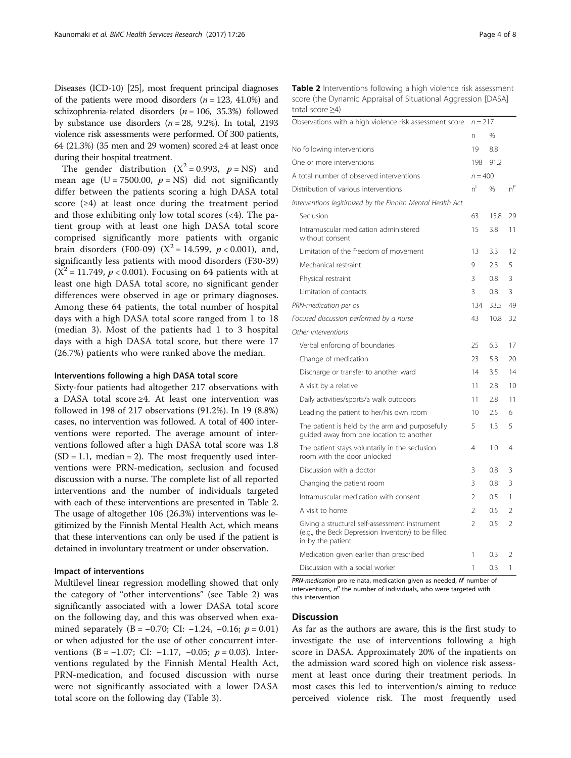<span id="page-3-0"></span>Diseases (ICD-10) [[25](#page-6-0)], most frequent principal diagnoses of the patients were mood disorders  $(n = 123, 41.0\%)$  and schizophrenia-related disorders  $(n = 106, 35.3%)$  followed by substance use disorders ( $n = 28$ , 9.2%). In total, 2193 violence risk assessments were performed. Of 300 patients, 64 (21.3%) (35 men and 29 women) scored ≥4 at least once during their hospital treatment.

The gender distribution  $(X^2 = 0.993, p = NS)$  and mean age (U = 7500.00,  $p = NS$ ) did not significantly differ between the patients scoring a high DASA total score (≥4) at least once during the treatment period and those exhibiting only low total scores  $(\leq 4)$ . The patient group with at least one high DASA total score comprised significantly more patients with organic brain disorders (F00-09) ( $X^2 = 14.599$ ,  $p < 0.001$ ), and, significantly less patients with mood disorders (F30-39)  $(X^2 = 11.749, p < 0.001)$ . Focusing on 64 patients with at least one high DASA total score, no significant gender differences were observed in age or primary diagnoses. Among these 64 patients, the total number of hospital days with a high DASA total score ranged from 1 to 18 (median 3). Most of the patients had 1 to 3 hospital days with a high DASA total score, but there were 17 (26.7%) patients who were ranked above the median.

#### Interventions following a high DASA total score

Sixty-four patients had altogether 217 observations with a DASA total score ≥4. At least one intervention was followed in 198 of 217 observations (91.2%). In 19 (8.8%) cases, no intervention was followed. A total of 400 interventions were reported. The average amount of interventions followed after a high DASA total score was 1.8  $(SD = 1.1, \text{ median} = 2)$ . The most frequently used interventions were PRN-medication, seclusion and focused discussion with a nurse. The complete list of all reported interventions and the number of individuals targeted with each of these interventions are presented in Table 2. The usage of altogether 106 (26.3%) interventions was legitimized by the Finnish Mental Health Act, which means that these interventions can only be used if the patient is detained in involuntary treatment or under observation.

#### Impact of interventions

Multilevel linear regression modelling showed that only the category of "other interventions" (see Table 2) was significantly associated with a lower DASA total score on the following day, and this was observed when examined separately (B =  $-0.70$ ; CI:  $-1.24$ ,  $-0.16$ ;  $p = 0.01$ ) or when adjusted for the use of other concurrent interventions (B = −1.07; CI: −1.17, −0.05;  $p = 0.03$ ). Interventions regulated by the Finnish Mental Health Act, PRN-medication, and focused discussion with nurse were not significantly associated with a lower DASA total score on the following day (Table [3\)](#page-4-0).

Table 2 Interventions following a high violence risk assessment score (the Dynamic Appraisal of Situational Aggression [DASA] total score ≥4)

| Observations with a high violence risk assessment score                                                                   |                | $n = 217$     |                  |  |
|---------------------------------------------------------------------------------------------------------------------------|----------------|---------------|------------------|--|
|                                                                                                                           | n              | $\frac{0}{0}$ |                  |  |
| No following interventions                                                                                                | 19             | 8.8           |                  |  |
| One or more interventions                                                                                                 | 198            | 91.2          |                  |  |
| A total number of observed interventions                                                                                  | $n = 400$      |               |                  |  |
| Distribution of various interventions                                                                                     | $n^{\vert}$    | $\frac{0}{0}$ | $n^{\mathsf{P}}$ |  |
| Interventions legitimized by the Finnish Mental Health Act                                                                |                |               |                  |  |
| Seclusion                                                                                                                 | 63             | 15.8          | 29               |  |
| Intramuscular medication administered<br>without consent                                                                  | 15             | 3.8           | 11               |  |
| Limitation of the freedom of movement                                                                                     | 13             | 3.3           | 12               |  |
| Mechanical restraint                                                                                                      | 9              | 2.3           | 5                |  |
| Physical restraint                                                                                                        | 3              | 0.8           | 3                |  |
| Limitation of contacts                                                                                                    | 3              | 0.8           | 3                |  |
| PRN-medication per os                                                                                                     | 134            | 33.5          | 49               |  |
| Focused discussion performed by a nurse                                                                                   | 43             | 10.8          | 32               |  |
| Other interventions                                                                                                       |                |               |                  |  |
| Verbal enforcing of boundaries                                                                                            | 25             | 6.3           | 17               |  |
| Change of medication                                                                                                      | 23             | 5.8           | 20               |  |
| Discharge or transfer to another ward                                                                                     | 14             | 3.5           | 14               |  |
| A visit by a relative                                                                                                     | 11             | 2.8           | 10               |  |
| Daily activities/sports/a walk outdoors                                                                                   | 11             | 2.8           | 11               |  |
| Leading the patient to her/his own room                                                                                   | 10             | 2.5           | 6                |  |
| The patient is held by the arm and purposefully<br>guided away from one location to another                               | 5              | 1.3           | 5                |  |
| The patient stays voluntarily in the seclusion<br>room with the door unlocked                                             | 4              | 1.0           | $\overline{4}$   |  |
| Discussion with a doctor                                                                                                  | 3              | 0.8           | 3                |  |
| Changing the patient room                                                                                                 | 3              | 0.8           | 3                |  |
| Intramuscular medication with consent                                                                                     | $\overline{2}$ | 0.5           | 1                |  |
| A visit to home                                                                                                           | $\overline{2}$ | 0.5           | 2                |  |
| Giving a structural self-assessment instrument<br>(e.g., the Beck Depression Inventory) to be filled<br>in by the patient | $\overline{2}$ | 0.5           | 2                |  |
| Medication given earlier than prescribed                                                                                  | 1              | 0.3           | 2                |  |
| Discussion with a social worker                                                                                           | 1              | 0.3           | 1                |  |

 $PRN$ -medication pro re nata, medication given as needed,  $N'$  number of interventions,  $n<sup>p</sup>$  the number of individuals, who were targeted with this intervention

#### **Discussion**

As far as the authors are aware, this is the first study to investigate the use of interventions following a high score in DASA. Approximately 20% of the inpatients on the admission ward scored high on violence risk assessment at least once during their treatment periods. In most cases this led to intervention/s aiming to reduce perceived violence risk. The most frequently used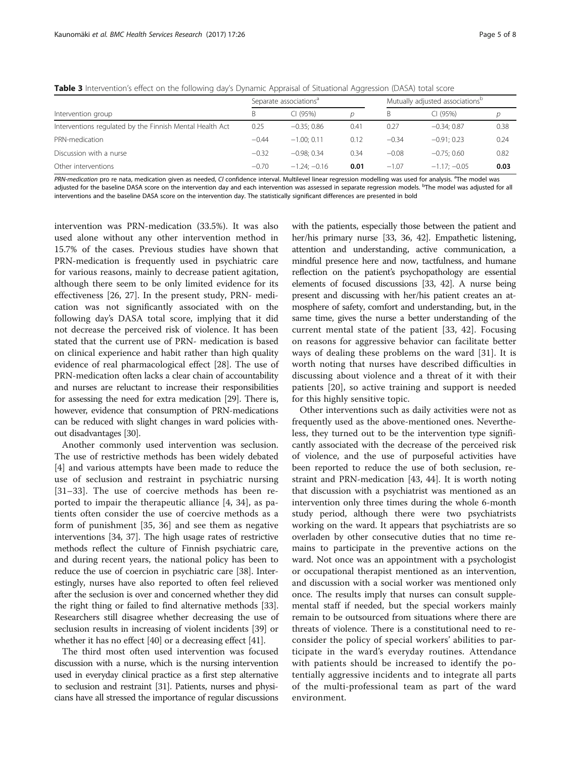<span id="page-4-0"></span>

| Table 3 Intervention's effect on the following day's Dynamic Appraisal of Situational Aggression (DASA) total score |  |  |  |  |  |
|---------------------------------------------------------------------------------------------------------------------|--|--|--|--|--|
|---------------------------------------------------------------------------------------------------------------------|--|--|--|--|--|

| Intervention group                                       | Separate associations <sup>d</sup> |                |      | Mutually adjusted associations <sup>p</sup> |                |      |
|----------------------------------------------------------|------------------------------------|----------------|------|---------------------------------------------|----------------|------|
|                                                          | B                                  | $Cl$ (95%)     | D    | Β                                           | CI (95%)       | D    |
| Interventions regulated by the Finnish Mental Health Act | 0.25                               | $-0.35:0.86$   | 0.41 | 0.27                                        | $-0.34:0.87$   | 0.38 |
| PRN-medication                                           | $-0.44$                            | $-1.00:0.11$   | 0.12 | $-0.34$                                     | $-0.91:0.23$   | 0.24 |
| Discussion with a nurse                                  | $-0.32$                            | $-0.98:0.34$   | 0.34 | $-0.08$                                     | $-0.75:0.60$   | 0.82 |
| Other interventions                                      | $-0.70$                            | $-1.24: -0.16$ | 0.01 | $-1.07$                                     | $-1.17: -0.05$ | 0.03 |

PRN-medication pro re nata, medication given as needed, CI confidence interval. Multilevel linear regression modelling was used for analysis. <sup>a</sup>The model was adjusted for the baseline DASA score on the intervention day and each intervention was assessed in separate regression models. <sup>b</sup>The model was adjusted for all interventions and the baseline DASA score on the intervention day. The statistically significant differences are presented in bold

intervention was PRN-medication (33.5%). It was also used alone without any other intervention method in 15.7% of the cases. Previous studies have shown that PRN-medication is frequently used in psychiatric care for various reasons, mainly to decrease patient agitation, although there seem to be only limited evidence for its effectiveness [[26](#page-6-0), [27](#page-6-0)]. In the present study, PRN- medication was not significantly associated with on the following day's DASA total score, implying that it did not decrease the perceived risk of violence. It has been stated that the current use of PRN- medication is based on clinical experience and habit rather than high quality evidence of real pharmacological effect [\[28](#page-6-0)]. The use of PRN-medication often lacks a clear chain of accountability and nurses are reluctant to increase their responsibilities for assessing the need for extra medication [\[29\]](#page-6-0). There is, however, evidence that consumption of PRN-medications can be reduced with slight changes in ward policies without disadvantages [\[30\]](#page-6-0).

Another commonly used intervention was seclusion. The use of restrictive methods has been widely debated [[4\]](#page-6-0) and various attempts have been made to reduce the use of seclusion and restraint in psychiatric nursing [[31](#page-6-0)–[33\]](#page-6-0). The use of coercive methods has been reported to impair the therapeutic alliance [\[4](#page-6-0), [34](#page-6-0)], as patients often consider the use of coercive methods as a form of punishment [[35, 36\]](#page-6-0) and see them as negative interventions [\[34, 37](#page-6-0)]. The high usage rates of restrictive methods reflect the culture of Finnish psychiatric care, and during recent years, the national policy has been to reduce the use of coercion in psychiatric care [\[38](#page-6-0)]. Interestingly, nurses have also reported to often feel relieved after the seclusion is over and concerned whether they did the right thing or failed to find alternative methods [[33](#page-6-0)]. Researchers still disagree whether decreasing the use of seclusion results in increasing of violent incidents [[39](#page-6-0)] or whether it has no effect [\[40\]](#page-6-0) or a decreasing effect [\[41\]](#page-6-0).

The third most often used intervention was focused discussion with a nurse, which is the nursing intervention used in everyday clinical practice as a first step alternative to seclusion and restraint [[31](#page-6-0)]. Patients, nurses and physicians have all stressed the importance of regular discussions

with the patients, especially those between the patient and her/his primary nurse [\[33, 36, 42](#page-6-0)]. Empathetic listening, attention and understanding, active communication, a mindful presence here and now, tactfulness, and humane reflection on the patient's psychopathology are essential elements of focused discussions [\[33, 42\]](#page-6-0). A nurse being present and discussing with her/his patient creates an atmosphere of safety, comfort and understanding, but, in the same time, gives the nurse a better understanding of the current mental state of the patient [[33, 42](#page-6-0)]. Focusing on reasons for aggressive behavior can facilitate better ways of dealing these problems on the ward [\[31](#page-6-0)]. It is worth noting that nurses have described difficulties in discussing about violence and a threat of it with their patients [[20](#page-6-0)], so active training and support is needed for this highly sensitive topic.

Other interventions such as daily activities were not as frequently used as the above-mentioned ones. Nevertheless, they turned out to be the intervention type significantly associated with the decrease of the perceived risk of violence, and the use of purposeful activities have been reported to reduce the use of both seclusion, restraint and PRN-medication [[43, 44](#page-6-0)]. It is worth noting that discussion with a psychiatrist was mentioned as an intervention only three times during the whole 6-month study period, although there were two psychiatrists working on the ward. It appears that psychiatrists are so overladen by other consecutive duties that no time remains to participate in the preventive actions on the ward. Not once was an appointment with a psychologist or occupational therapist mentioned as an intervention, and discussion with a social worker was mentioned only once. The results imply that nurses can consult supplemental staff if needed, but the special workers mainly remain to be outsourced from situations where there are threats of violence. There is a constitutional need to reconsider the policy of special workers' abilities to participate in the ward's everyday routines. Attendance with patients should be increased to identify the potentially aggressive incidents and to integrate all parts of the multi-professional team as part of the ward environment.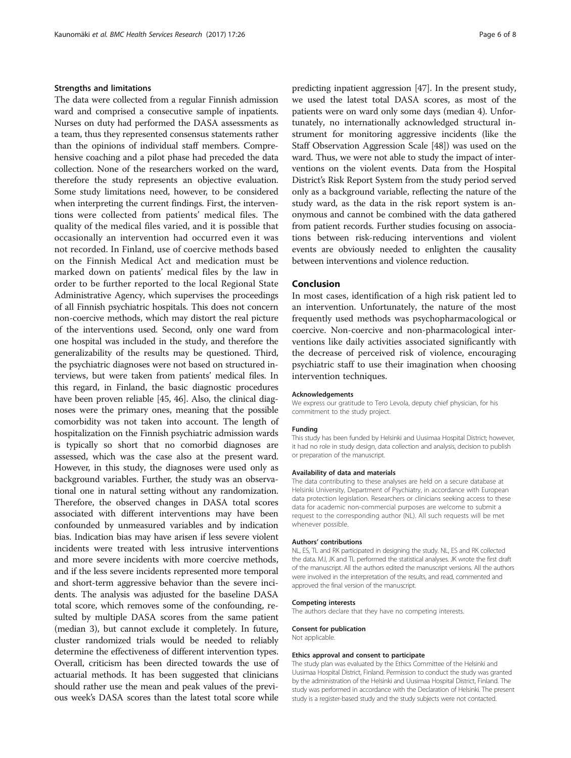#### Strengths and limitations

The data were collected from a regular Finnish admission ward and comprised a consecutive sample of inpatients. Nurses on duty had performed the DASA assessments as a team, thus they represented consensus statements rather than the opinions of individual staff members. Comprehensive coaching and a pilot phase had preceded the data collection. None of the researchers worked on the ward, therefore the study represents an objective evaluation. Some study limitations need, however, to be considered when interpreting the current findings. First, the interventions were collected from patients' medical files. The quality of the medical files varied, and it is possible that occasionally an intervention had occurred even it was not recorded. In Finland, use of coercive methods based on the Finnish Medical Act and medication must be marked down on patients' medical files by the law in order to be further reported to the local Regional State Administrative Agency, which supervises the proceedings of all Finnish psychiatric hospitals. This does not concern non-coercive methods, which may distort the real picture of the interventions used. Second, only one ward from one hospital was included in the study, and therefore the generalizability of the results may be questioned. Third, the psychiatric diagnoses were not based on structured interviews, but were taken from patients' medical files. In this regard, in Finland, the basic diagnostic procedures have been proven reliable [[45](#page-6-0), [46](#page-7-0)]. Also, the clinical diagnoses were the primary ones, meaning that the possible comorbidity was not taken into account. The length of hospitalization on the Finnish psychiatric admission wards is typically so short that no comorbid diagnoses are assessed, which was the case also at the present ward. However, in this study, the diagnoses were used only as background variables. Further, the study was an observational one in natural setting without any randomization. Therefore, the observed changes in DASA total scores associated with different interventions may have been confounded by unmeasured variables and by indication bias. Indication bias may have arisen if less severe violent incidents were treated with less intrusive interventions and more severe incidents with more coercive methods, and if the less severe incidents represented more temporal and short-term aggressive behavior than the severe incidents. The analysis was adjusted for the baseline DASA total score, which removes some of the confounding, resulted by multiple DASA scores from the same patient (median 3), but cannot exclude it completely. In future, cluster randomized trials would be needed to reliably determine the effectiveness of different intervention types. Overall, criticism has been directed towards the use of actuarial methods. It has been suggested that clinicians should rather use the mean and peak values of the previous week's DASA scores than the latest total score while

predicting inpatient aggression [[47](#page-7-0)]. In the present study, we used the latest total DASA scores, as most of the patients were on ward only some days (median 4). Unfortunately, no internationally acknowledged structural instrument for monitoring aggressive incidents (like the Staff Observation Aggression Scale [\[48\]](#page-7-0)) was used on the ward. Thus, we were not able to study the impact of interventions on the violent events. Data from the Hospital District's Risk Report System from the study period served only as a background variable, reflecting the nature of the study ward, as the data in the risk report system is anonymous and cannot be combined with the data gathered from patient records. Further studies focusing on associations between risk-reducing interventions and violent events are obviously needed to enlighten the causality between interventions and violence reduction.

#### Conclusion

In most cases, identification of a high risk patient led to an intervention. Unfortunately, the nature of the most frequently used methods was psychopharmacological or coercive. Non-coercive and non-pharmacological interventions like daily activities associated significantly with the decrease of perceived risk of violence, encouraging psychiatric staff to use their imagination when choosing intervention techniques.

#### Acknowledgements

We express our gratitude to Tero Levola, deputy chief physician, for his commitment to the study project.

#### Funding

This study has been funded by Helsinki and Uusimaa Hospital District; however, it had no role in study design, data collection and analysis, decision to publish or preparation of the manuscript.

#### Availability of data and materials

The data contributing to these analyses are held on a secure database at Helsinki University, Department of Psychiatry, in accordance with European data protection legislation. Researchers or clinicians seeking access to these data for academic non-commercial purposes are welcome to submit a request to the corresponding author (NL). All such requests will be met whenever possible.

#### Authors' contributions

NL, ES, TL and RK participated in designing the study. NL, ES and RK collected the data. MJ, JK and TL performed the statistical analyses. JK wrote the first draft of the manuscript. All the authors edited the manuscript versions. All the authors were involved in the interpretation of the results, and read, commented and approved the final version of the manuscript.

#### Competing interests

The authors declare that they have no competing interests.

Consent for publication Not applicable.

#### Ethics approval and consent to participate

The study plan was evaluated by the Ethics Committee of the Helsinki and Uusimaa Hospital District, Finland. Permission to conduct the study was granted by the administration of the Helsinki and Uusimaa Hospital District, Finland. The study was performed in accordance with the Declaration of Helsinki. The present study is a register-based study and the study subjects were not contacted.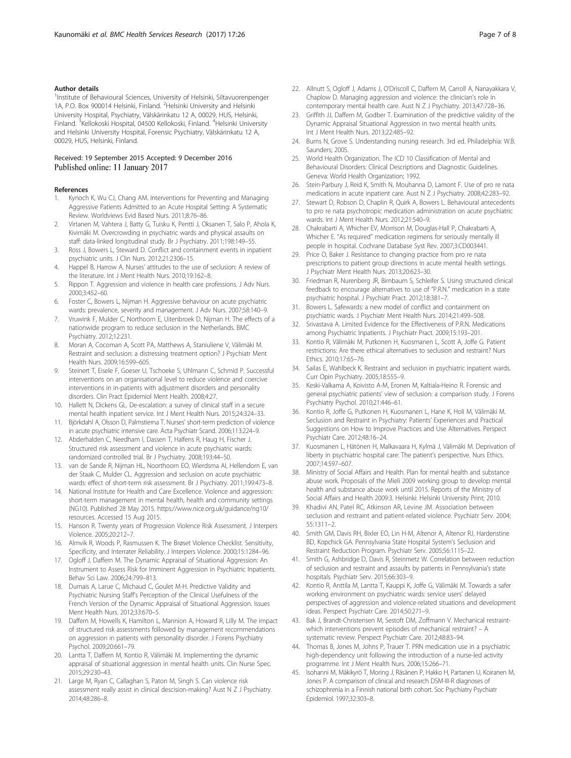#### <span id="page-6-0"></span>Author details

<sup>1</sup>Institute of Behavioural Sciences, University of Helsinki, Siltavuorenpenger 1A, P.O. Box 900014 Helsinki, Finland. <sup>2</sup>Helsinki University and Helsinki University Hospital, Psychiatry, Välskärinkatu 12 A, 00029, HUS, Helsinki, Finland. <sup>3</sup>Kellokoski Hospital, 04500 Kellokoski, Finland. <sup>4</sup>Helsinki University and Helsinki University Hospital, Forensic Psychiatry, Välskärinkatu 12 A, 00029, HUS, Helsinki, Finland.

#### Received: 19 September 2015 Accepted: 9 December 2016 Published online: 11 January 2017

#### References

- 1. Kynoch K, Wu CJ, Chang AM. Interventions for Preventing and Managing Aggressive Patients Admitted to an Acute Hospital Setting: A Systematic Review. Worldviews Evid Based Nurs. 2011;8:76–86.
- 2. Virtanen M, Vahtera J, Batty G, Tuisku K, Pentti J, Oksanen T, Salo P, Ahola K, Kivimäki M. Overcrowding in psychiatric wards and physical assaults on staff: data-linked longitudinal study. Br J Psychiatry. 2011;198:149–55.
- Ross J, Bowers L, Steward D. Conflict and containment events in inpatient psychiatric units. J Clin Nurs. 2012;21:2306–15.
- 4. Happel B, Harrow A. Nurses' attitudes to the use of seclusion: A review of the literature. Int J Ment Health Nurs. 2010;19:162–8.
- 5. Rippon T. Aggression and violence in health care professions. J Adv Nurs. 2000;3:452–60.
- 6. Foster C, Bowers L, Nijman H. Aggressive behaviour on acute psychiatric wards: prevalence, severity and management. J Adv Nurs. 2007;58:140–9.
- 7. Vruwink F, Mulder C, Northoorn E, Uitenbroek D, Nijman H. The effects of a nationwide program to reduce seclusion in the Netherlands. BMC Psychiatry. 2012;12:231.
- 8. Moran A, Cocoman A, Scott PA, Matthews A, Staniuliene V, Välimäki M. Restraint and seclusion: a distressing treatment option? J Psychiatr Ment Health Nurs. 2009;16:599–605.
- Steinert T, Eisele F, Goeser U, Tschoeke S, Uhlmann C, Schmid P. Successful interventions on an organisational level to reduce violence and coercive interventions in in-patients with adjustment disorders and personality disorders. Clin Pract Epidemiol Ment Health. 2008;4:27.
- 10. Hallett N, Dickens GL. De-escalation: a survey of clinical staff in a secure mental health inpatient service. Int J Ment Health Nurs. 2015;24:324–33.
- 11. Björkdahl A, Olsson D, Palmstierna T. Nurses' short-term prediction of violence in acute psychiatric intensive care. Acta Psychiatr Scand. 2006;113:224–9.
- 12. Abderhalden C, Needham I, Dassen T, Halfens R, Haug H, Fischer J. Structured risk assessment and violence in acute psychiatric wards: randomized controlled trial. Br J Psychiatry. 2008;193:44–50.
- 13. van de Sande R, Nijman HL, Noorthoorn EO, Wierdsma AI, Hellendorn E, van der Staak C, Mulder CL. Aggression and seclusion on acute psychiatric wards: effect of short-term risk assessment. Br J Psychiatry. 2011;199:473–8.
- 14. National Institute for Health and Care Excellence. Violence and aggression: short-term management in mental health, health and community settings (NG10). Published 28 May 2015. [https://www.nice.org.uk/guidance/ng10/](https://www.nice.org.uk/guidance/ng10/resources) [resources](https://www.nice.org.uk/guidance/ng10/resources). Accessed 15 Aug 2015.
- 15. Hanson R. Twenty years of Progression Violence Risk Assessment. J Interpers Violence. 2005;20:212–7.
- 16. Almvik R, Woods P, Rasmussen K. The Brøset Violence Checklist. Sensitivity, Specificity, and Interrater Reliability. J Interpers Violence. 2000;15:1284–96.
- 17. Ogloff J, Daffern M. The Dynamic Appraisal of Situational Aggression: An Instrument to Assess Risk for Imminent Aggression in Psychiatric Inpatients. Behav Sci Law. 2006;24:799–813.
- 18. Dumais A, Larue C, Michaud C, Goulet M-H. Predictive Validity and Psychiatric Nursing Staff's Perception of the Clinical Usefulness of the French Version of the Dynamic Appraisal of Situational Aggression. Issues Ment Health Nurs. 2012;33:670–5.
- 19. Daffern M, Howells K, Hamilton L, Mannion A, Howard R, Lilly M. The impact of structured risk assessments followed by management recommendations on aggression in patients with personality disorder. J Forens Psychiatry Psychol. 2009;20:661–79.
- 20. Lantta T, Daffern M, Kontio R, Välimäki M. Implementing the dynamic appraisal of situational aggression in mental health units. Clin Nurse Spec. 2015;29:230–43.
- 21. Large M, Ryan C, Callaghan S, Paton M, Singh S. Can violence risk assessment really assist in clinical descision-making? Aust N Z J Psychiatry. 2014;48:286–8.
- 22. Allnutt S, Ogloff J, Adams J, O'Driscoll C, Daffern M, Carroll A, Nanayakkara V, Chaplow D. Managing aggression and violence: the clinician's role in contemporary mental health care. Aust N Z J Psychiatry. 2013;47:728–36.
- 23. Griffith JJ, Daffern M, Godber T. Examination of the predictive validity of the Dynamic Appraisal Situational Aggression in two mental health units. Int J Ment Health Nurs. 2013;22:485–92.
- 24. Burns N, Grove S. Understanding nursing research. 3rd ed. Philadelphia: W.B. Saunders; 2005.
- 25. World Health Organization. The ICD 10 Classification of Mental and Behavioural Disorders: Clinical Descriptions and Diagnostic Guidelines. Geneva: World Health Organization; 1992.
- 26. Stein-Parbury J, Reid K, Smith N, Mouhanna D, Lamont F. Use of pro re nata medications in acute inpatient care. Aust N Z J Psychiatry. 2008;42:283–92.
- 27. Stewart D, Robson D, Chaplin R, Quirk A, Bowers L. Behavioural antecedents to pro re nata psychotropic medication administration on acute psychiatric wards. Int J Ment Health Nurs. 2012;21:540–9.
- 28. Chakrabarti A, Whicher EV, Morrison M, Douglas-Hall P, Chakrabarti A, Whicher E. "As required" medication regimens for seriously mentally ill people in hospital. Cochrane Database Syst Rev. 2007;3:CD003441.
- 29. Price O, Baker J. Resistance to changing practice from pro re nata prescriptions to patient group directions in acute mental health settings. J Psychiatr Ment Health Nurs. 2013;20:623–30.
- 30. Friedman R, Nurenberg JR, Birnbaum S, Schleifer S. Using structured clinical feedback to encourage alternatives to use of "P.R.N." medication in a state psychiatric hospital. J Psychiatr Pract. 2012;18:381–7.
- 31. Bowers L. Safewards: a new model of conflict and containment on psychiatric wards. J Psychiatr Ment Health Nurs. 2014;21:499–508.
- 32. Srivastava A. Limited Evidence for the Effectiveness of P.R.N. Medications among Psychiatric Inpatients. J Psychiatr Pract. 2009;15:193–201.
- 33. Kontio R, Välimäki M, Putkonen H, Kuosmanen L, Scott A, Joffe G. Patient restrictions: Are there ethical alternatives to seclusion and restraint? Nurs Ethics. 2010;17:65–76.
- 34. Sailas E, Wahlbeck K. Restraint and seclusion in psychiatric inpatient wards. Curr Opin Psychiatry. 2005;18:555–9.
- 35. Keski-Valkama A, Koivisto A-M, Eronen M, Kaltiala-Heino R. Forensic and general psychiatric patients' view of seclusion: a comparison study. J Forens Psychiatry Psychol. 2010;21:446–61.
- 36. Kontio R, Joffe G, Putkonen H, Kuosmanen L, Hane K, Holi M, Välimäki M. Seclusion and Restraint in Psychiatry: Patients' Experiences and Practical Suggestions on How to Improve Practices and Use Alternatives. Perspect Psychiatr Care. 2012;48:16–24.
- 37. Kuosmanen L, Hätönen H, Malkavaara H, Kylmä J, Välimäki M. Deprivation of liberty in psychiatric hospital care: The patient's perspective. Nurs Ethics. 2007;14:597–607.
- 38. Ministry of Social Affairs and Health. Plan for mental health and substance abuse work. Proposals of the Mieli 2009 working group to develop mental health and substance abuse work until 2015. Reports of the Ministry of Social Affairs and Health 2009:3. Helsinki: Helsinki University Print; 2010.
- 39. Khadivi AN, Patel RC, Atkinson AR, Levine JM. Association between seclusion and restraint and patient-related violence. Psychiatr Serv. 2004; 55:1311–2.
- 40. Smith GM, Davis RH, Bixler EO, Lin H-M, Altenor A, Altenor RJ, Hardenstine BD, Kopchick GA. Pennsylvania State Hospital System's Seclusion and Restraint Reduction Program. Psychiatr Serv. 2005;56:1115–22.
- 41. Smith G, Ashbridge D, Davis R, Steinmetz W. Correlation between reduction of seclusion and restraint and assaults by patients in Pennsylvania's state hospitals. Psychiatr Serv. 2015;66:303–9.
- 42. Kontio R, Anttila M, Lantta T, Kauppi K, Joffe G, Välimäki M. Towards a safer working environment on psychiatric wards: service users' delayed perspectives of aggression and violence-related situations and development ideas. Perspect Psychiatr Care. 2014;50:271–9.
- 43. Bak J, Brandt-Christensen M, Sestoft DM, Zoffmann V. Mechanical restraintwhich interventions prevent episodes of mechanical restraint? – A systematic review. Perspect Psychiatr Care. 2012;48:83–94.
- 44. Thomas B, Jones M, Johns P, Trauer T. PRN medication use in a psychiatric high-dependency unit following the introduction of a nurse-led activity programme. Int J Ment Health Nurs. 2006;15:266–71.
- 45. Isohanni M, Mäkikyrö T, Moring J, Räsänen P, Hakko H, Partanen U, Koiranen M, Jones P. A comparison of clinical and research DSM-III-R diagnoses of schizophrenia in a Finnish national birth cohort. Soc Psychiatry Psychiatr Epidemiol. 1997;32:303–8.